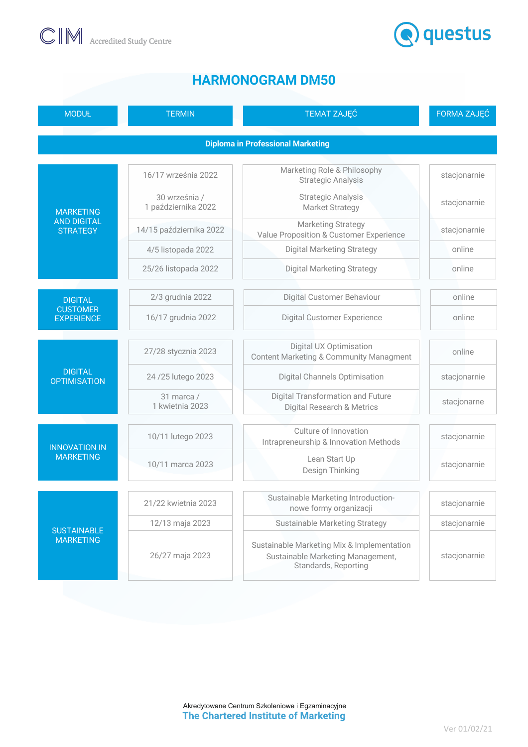



## **HARMONOGRAM DM50**

| <b>MODUŁ</b>                                              | <b>TERMIN</b>                        | <b>TEMAT ZAJĘĆ</b>                                                                                      | FORMA ZAJĘĆ  |
|-----------------------------------------------------------|--------------------------------------|---------------------------------------------------------------------------------------------------------|--------------|
| <b>Diploma in Professional Marketing</b>                  |                                      |                                                                                                         |              |
| <b>MARKETING</b><br><b>AND DIGITAL</b><br><b>STRATEGY</b> | 16/17 września 2022                  | Marketing Role & Philosophy<br><b>Strategic Analysis</b>                                                | stacjonarnie |
|                                                           | 30 września /<br>1 października 2022 | <b>Strategic Analysis</b><br><b>Market Strategy</b>                                                     | stacjonarnie |
|                                                           | 14/15 października 2022              | <b>Marketing Strategy</b><br>Value Proposition & Customer Experience                                    | stacjonarnie |
|                                                           | 4/5 listopada 2022                   | <b>Digital Marketing Strategy</b>                                                                       | online       |
|                                                           | 25/26 listopada 2022                 | <b>Digital Marketing Strategy</b>                                                                       | online       |
| <b>DIGITAL</b><br><b>CUSTOMER</b><br><b>EXPERIENCE</b>    | 2/3 grudnia 2022                     | Digital Customer Behaviour                                                                              | online       |
|                                                           | 16/17 grudnia 2022                   | <b>Digital Customer Experience</b>                                                                      | online       |
| <b>DIGITAL</b><br><b>OPTIMISATION</b>                     | 27/28 stycznia 2023                  | Digital UX Optimisation<br><b>Content Marketing &amp; Community Managment</b>                           | online       |
|                                                           | 24 / 25 lutego 2023                  | <b>Digital Channels Optimisation</b>                                                                    | stacjonarnie |
|                                                           | 31 marca /<br>1 kwietnia 2023        | <b>Digital Transformation and Future</b><br>Digital Research & Metrics                                  | stacjonarne  |
| <b>INNOVATION IN</b><br><b>MARKETING</b>                  | 10/11 lutego 2023                    | Culture of Innovation<br>Intrapreneurship & Innovation Methods                                          | stacjonarnie |
|                                                           | 10/11 marca 2023                     | Lean Start Up<br>Design Thinking                                                                        | stacjonarnie |
| <b>SUSTAINABLE</b><br><b>MARKETING</b>                    | 21/22 kwietnia 2023                  | Sustainable Marketing Introduction-<br>nowe formy organizacji                                           | stacjonarnie |
|                                                           | 12/13 maja 2023                      | <b>Sustainable Marketing Strategy</b>                                                                   | stacjonarnie |
|                                                           | 26/27 maja 2023                      | Sustainable Marketing Mix & Implementation<br>Sustainable Marketing Management,<br>Standards, Reporting | stacjonarnie |